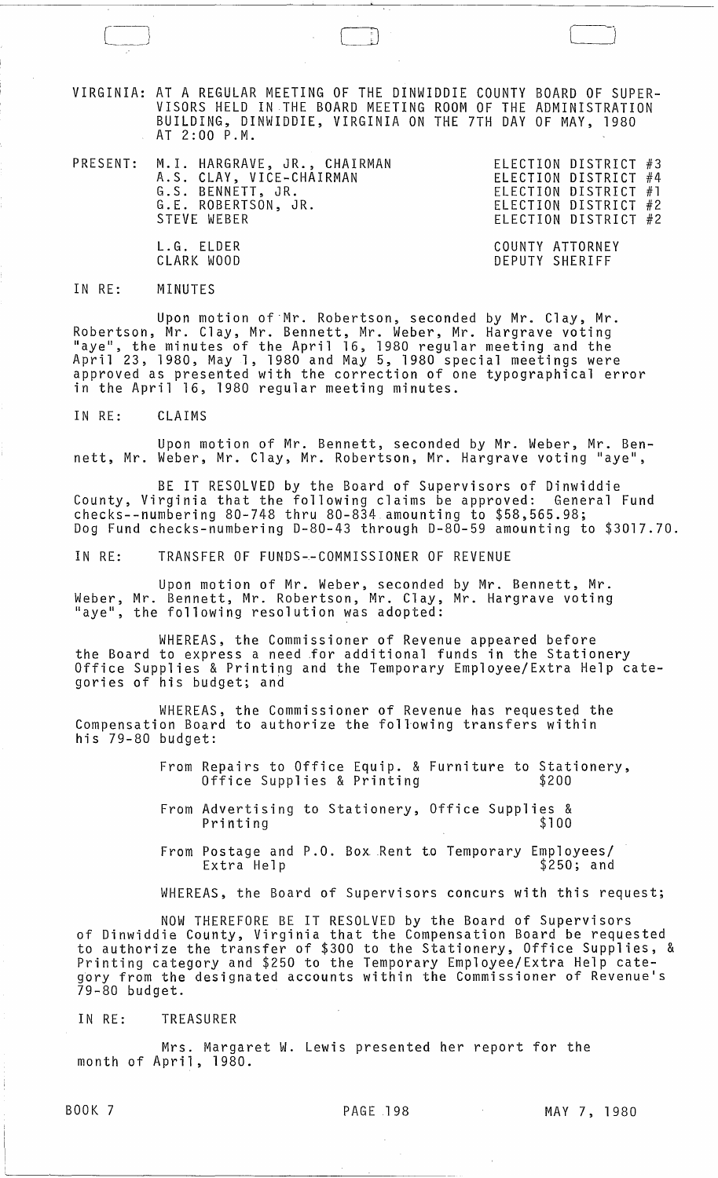VIRGINIA: AT A REGULAR MEETING OF THE DINWIDDIE COUNTY BOARD OF SUPER-VISORS HELD IN THE BOARD MEETING ROOM OF THE ADMINISTRATION BUILDING, DINWIDDIE, VIRGINIA ON THE 7TH DAY OF MAY, 1980 AT 2:00 P.M.

|  | PRESENT: M.I. HARGRAVE, JR., CHAIRMAN<br>A.S. CLAY, VICE-CHAIRMAN<br>G.S. BENNETT, JR.<br>G.E. ROBERTSON, JR.<br>STEVE WEBER | ELECTION DISTRICT #3<br>ELECTION DISTRICT #4<br>ELECTION DISTRICT #1<br>ELECTION DISTRICT #2<br>ELECTION DISTRICT #2 |
|--|------------------------------------------------------------------------------------------------------------------------------|----------------------------------------------------------------------------------------------------------------------|
|  | L.G. ELDER<br>CLARK WOOD                                                                                                     | COUNTY ATTORNEY<br>DEPUTY SHERIFF                                                                                    |

IN RE: MINUTES

Upon motion of Mr. Robertson, seconded by Mr. Clay, Mr. Robertson, Mr. Clay, Mr. Bennett, Mr. Weber, Mr. Hargrave voting Robertson, Mr. Clay, Mr. Bennett, Mr. Weber, Mr. Hargrave voting<br>"aye", the minutes of the April 16, 1980 regular meeting and the<br>"are:" April 23, 1980, May 1, 1980 and May 5, 1980 special meetings were approved as presented with the correction of one typographical error in the April 16, 1980 regular meeting minutes.

IN RE: CLAIMS

Upon motion of Mr. Bennett, seconded by Mr. Weber, Mr. Bennett, Mr. Weber, Mr. Clay, Mr. Robertson, Mr. Hargrave voting "aye",

BE IT RESOLVED by the Board of Supervisors of Dinwiddie County, Virginia that the following claims be approved: General Fund checks--numbering 80-748 thru 80-834 amounting to \$58,565.98; Dog Fund checks-numbering 0-80-43 through 0-80-59 amounting to \$3017.70.

IN RE: TRANSFER OF FUNDS~-COMMISSIONER OF REVENUE

Upon motion of Mr. Weber. seconded by Mr. Bennett, Mr. Weber, Mr. Bennett, Mr. Robertson, Mr. Clay, Mr. Hargrave voting "aye", the following resolution was adopted:

WHEREAS, the Commissioner of Revenue appeared before the Board to express a need for additional funds in the Stationery Office Supplies & Printing and the Temporary Employee/Extra Help categories of his budget; and

WHEREAS, the Commissioner of Revenue has requested the Compensation Board to authorize the foll-owing transfers within his 79-80 budget:

- From Repairs to Office Equip. & Furniture to Stationery,<br>Office Supplies & Printing \$200 Office Supplies & Printing
- From Advertising to Stationery, Office Supplies & Printing
- From Postage and P.O. Box Rent to Temporary Employees/<br>Extra Help \$250; and  $$250;$  and

WHEREAS, the Board of Supervisors concurs with this request;

NOW THEREFORE BE IT RESOLVED by the Board of Supervisors of Dinwiddie County, Virginia that the Compensation Board be requested to authorize the transfer of \$300 to the Stationery, Office Supplies, & Printing category and \$250 to the Temporary Employee/Extra Help category from the designated accounts within the Commissioner of Revenue's 79-80 budget.

IN RE: TREASURER

Mrs. Margaret W. Lewis presented her report for the month of April, 1980.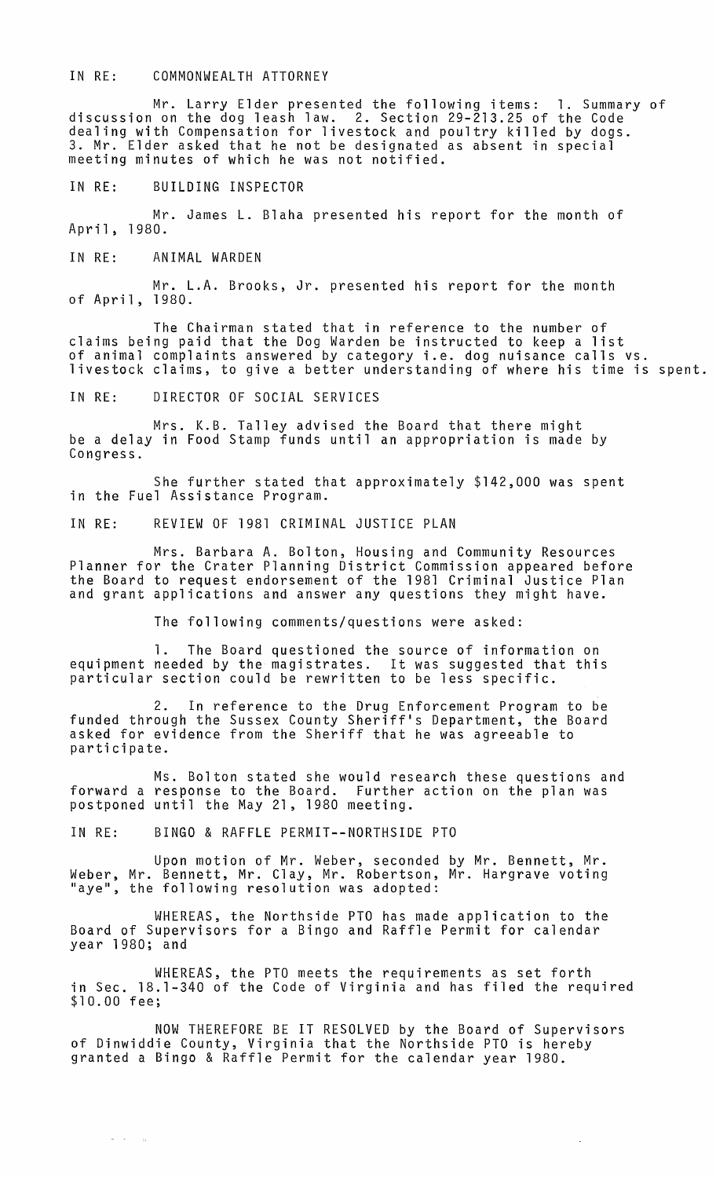## IN RE: COMMONWEALTH ATTORNEY

Mr. Larry Elder presented the following items: 1. Summary of discussion on the dog leash law. 2. Section 29-213.25 of the Code dealing with Compensation for livestock and poultry killed by dogs. 3. Mr. Elder asked that he not be designated as absent in special meeting minutes of which he was not notified.

IN RE: BUILDING INSPECTOR

Mr. James L. Blaha presented his report for the month of April, 1980.

IN RE: ANIMAL WARDEN

Mr. L.A. Brooks, Jr. presented his report for the month of April, 1980.

The Chairman stated that in reference to the number of claims being paid that the Dog Warden be instructed to keep a list of animal complaints answered by category i.e. dog nuisance calls vs. livestock claims, to give a better understanding of where his time is spent.

IN RE: DIRECTOR OF SOCIAL SERVICES

Mrs. K.B. Talley advised the Board that there might be a delay in Food Stamp funds until an appropriation is made by Congress.

She further stated that approximately \$142,000 was spent in the Fuel Assistance Program.

IN RE: REVIEW OF 1981 CRIMINAL JUSTICE PLAN

Mrs. Barbara A. Bolton, Housing and Community Resources Planner for the Crater Planning District Commission appeared before the Board to request endorsement of the 1981 Criminal Justice Plan and grant applications and answer any questions they might have.

The following comments/questions were asked:

1. The Board questioned the source of information on equipment needed by the magistrates. It was suggested that this particular section could be rewritten to be less specific.

2. In reference to the Drug Enforcement Program to be funded through the Sussex County Sheriff's Department, the Board asked for evidence from the Sheriff that he was agreeable to participate.

Ms. Bolton stated she would research these questions and forward a response to the Board. Further action on the plan was postponed until the May 21, 1980 meeting.

IN RE: BINGO & RAFFLE PERMIT--NORTHSIDE PTO

 $\sigma = \sigma_{\rm{max}}$ 

Upon motion of Mr. Weber, seconded by Mr. Bennett, Mr. Weber, Mr. Bennett, Mr. Clay, Mr. Robertson, Mr. Hargrave voting<br>"aye", the following resolution was adopted:

WHEREAS, the Northside PTO has made application to the Board of Supervisors for a Bingo and Raffle Permit for calendar year 1980; and

WHEREAS, the PTO meets the requirements as set forth in Sec. 18.1-340 of the Code of Virginia and has filed the required \$10.00 fee;

NOW THEREFORE BE IT RESOLVED by the Board of Supervisors of Dinwiddie County, Virginia that the Northside PTO is hereby granted a Bingo & Raffle Permit for the calendar year 1980.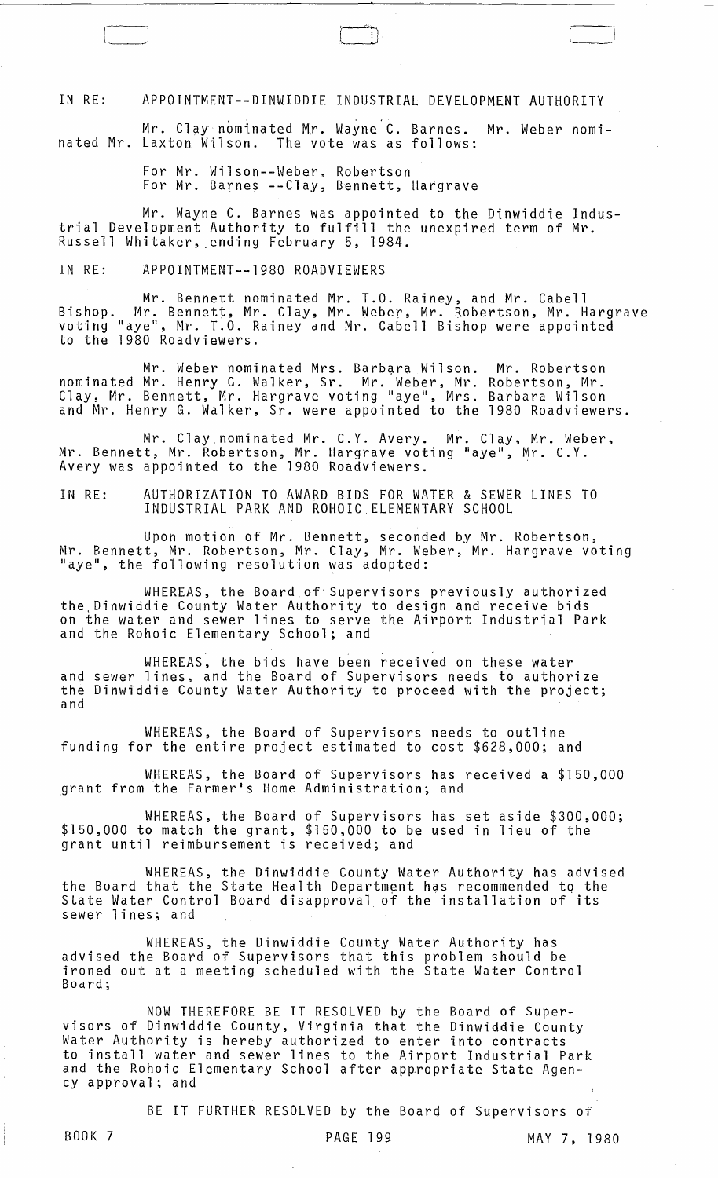IN RE: APPOINTMENT--DINWIDDIE INDUSTRIAL DEVELOPMENT AUTHORITY

r \_\_ ~\_J

Mr. Clay nominated Mr. Wayne C. Barnes. Mr. Weber nominated Mr. Laxton Wilson. The vote was as follows:

> For Mr. Wilson--Weber, Robertson For Mr. Barnes --Clay, Bennett, Hargrave

Mr. Wayne C. Barnes was appointed to the Dinwiddie Industrial Development Authority to fulfill the unexpired term of Mr. Russell Whitaker, ending February 5, 1984.

## IN RE: APPOINTMENT--1980 ROADVIEWERS

Mr. Bennett nominated Mr. T.O. Rainey, and Mr. Cabell Bishop. Mr. Bennett, Mr. Clay, Mr. Weber, Mr. Robertson, Mr. Hargrave voting "aye", Mr. T.O. Rainey and Mr. Cabell Bishop were appointed to the 1980 Roadviewers.

Mr. Weber nominated Mrs. Barbara Wilson. nominated Mr. Henry G. Walker, Sr. Mr. Weber, Mr. Clay, Mr. Bennett, Mr. Hargrave voting "aye", Mrs. and Mr. Henry G. Walker, Sr. were appointed to the Mr. Robertson Robertson, Mr. Barbara Wilson 1980 Roadviewers.

Mr. Clay nominated Mr. C.Y. Avery. Mr. Clay, Mr. Weber, Mr. Bennett, Mr. Robertson, Mr. Hargrave voting "aye", Mr. C.Y. Avery was appOinted to the 1980 Roadviewers.

IN RE: AUTHORIZATION TO AWARD BIDS FOR WATER & SEWER LINES TO INDUSTRIAL PARK AND ROHOIC.ELEMENTARY SCHOOL

Upon motion of Mr. Bennett, seconded by Mr. Robertson, Mr. Bennett, Mr. Robertson, Mr. Clay, Mr. Weber, Mr. Hargrave voting<br>"aye", the following resolution was adopted:

WHEREAS, the Board of'Supervisors previously authorized the,Dinwiddie County Water Authority to design and receive bids on the water and sewer lines to serve the Airport Industrial Park and the Rohoic Elementary School; and

WHEREAS, the bids have been received on these water and sewer lines, and the Board of Supervisors needs to authorize the Dinwiddie County Water Authority to proceed with the project; and

WHEREAS, the Board of Supervisors needs to outline funding for the entire project estimated to cost \$628,000; and

WHEREAS, the Board of Supervisors has received a \$150,000 grant from the Farmer's Home Administration; and

WHEREAS, the Board of Supervisors has set aside \$300,000; \$150,000 to match the grant, \$150,000 to be used in lieu of the grant until reimbursement is received; and

WHEREAS, the Dinwiddie County Water Authority has advised the Board that the State Health Department has recommended to the State Water Control Board disapproval of the installation of its sewer lines; and

WHEREAS, the Dinwiddie County Water Authority has advised the Board of Supervisors that this problem should be ironed out at a meeting scheduled with the State Water Control Board;

NOW THEREFORE BE IT RESOLVED by the Board of Supervisors of Dinwiddie County, Virginia that the Dinwiddie County Water Authority is hereby authorized to enter into contracts to install water and sewer lines to the Airport Industrial Park and the Rohoic Elementary School after appropriate State Agency approval; and

BE IT FURTHER RESOLVED by the Board of Supervisors of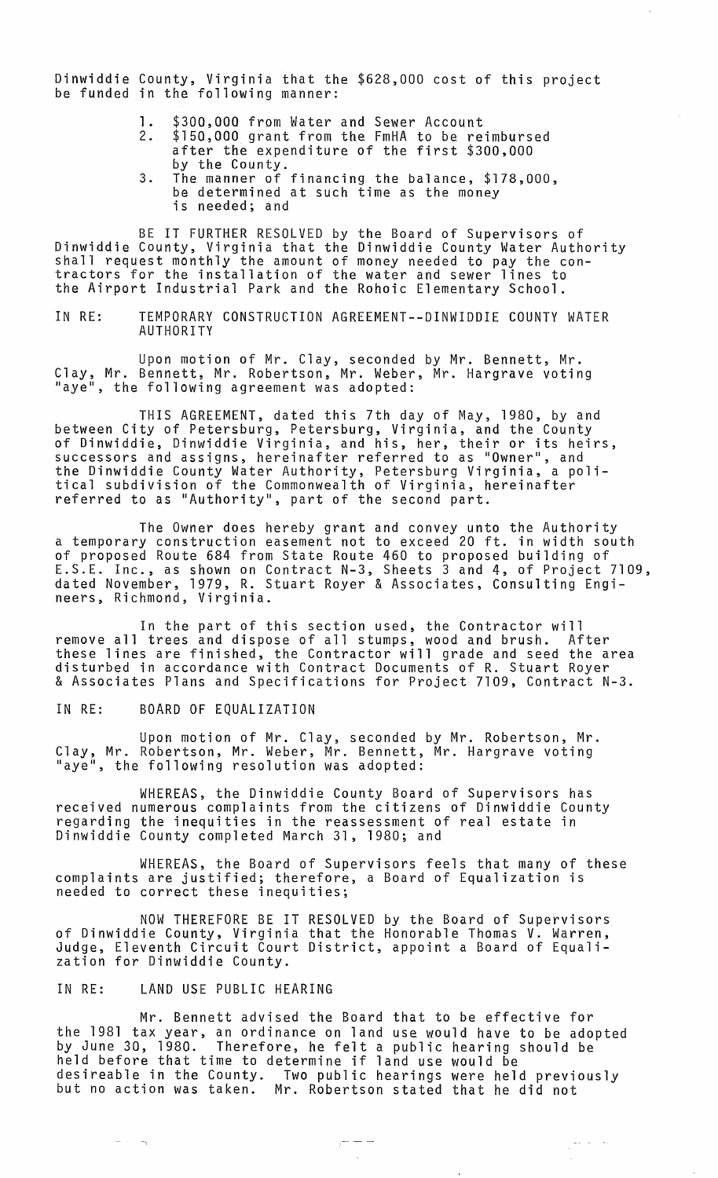Dinwiddie County, Virginia that the \$628,000 cost of this project be funded in the following manner:

- 1. \$300,000 from Water and Sewer Account
- \$150,000 grant from the FmHA to be reimbursed after the expenditure of the first \$300,000 by the County.
- 3. The manner of financing the balance, \$178,000, be determined at such time as the money is needed; and

BE IT FURTHER RESOLVED by the Board of Supervisors of<br>Dinwiddie County, Virginia that the Dinwiddie County Water Authority Dinwiddie County, Virginia that the Dinwiddie County Water Authority<br>shall request monthly the amount of money needed to pay the contractors for the installation of the water and sewer lines to the Airport Industrial Park and the Rohoic Elementary School.

IN RE: TEMPORARY CONSTRUCTION AGREEMENT--DINWIDDIE COUNTY WATER AUTHORITY

Upon motion of Mr. Clay, seconded by Mr. Bennett, Mr. Clay, Mr. Bennett, Mr. Robertson, Mr. Weber, Mr. Hargrave voting "aye", the following agreement was adopted:

THIS AGREEMENT, dated this 7th day of May, 1980, by and between City of Petersburg, Petersburg, Virginia, and the County of Dinwiddie, Dinwiddie Virginia, and his, her, their or its heirs, successors and assigns, hereinafter referred to as "Owner ", and the Dinwiddie County Water Authority, Petersburg Virginia, a political subdivision of the Commonwealth of Virginia, hereinafter referred to as "Authority ", part of the second part.

The Owner does hereby grant and convey unto the Authority a temporary construction easement not to exceed 20 ft. in width south of proposed Route 684 from State Route 460 to proposed building of E.S.E. Inc., as shown on Contract N-3, Sheets 3 and 4, of Project 7109, dated November, 1979, R. Stuart Royer & Associates, Consulting Engineers, Richmond, Virginia.

In the part of this section used, the Contractor will remove all trees and dispose of all stumps, wood and brush. After these lines are finished, the Contractor will grade and seed the area disturbed in accordance with Contract Documents of R. Stuart Royer & Associates Plans and Specifications for Project 7109, Contract N-3.

IN RE: BOARD OF EQUALIZATION

Upon motion of Mr. Clay, seconded by Mr. Robertson, Mr. Clay, Mr. Robertson, Mr. Weber, Mr. Bennett, Mr. Hargrave voting "aye", the following resolution was adopted:

WHEREAS, the Dinwiddie County Board of Supervisors has received numerous complaints from the citizens of Dinwiddie County regarding the inequities in the reassessment of real estate in Dinwiddie County completed March 31, 1980; and

WHEREAS, the Board of Supervisors feels that many of these complaints are justified; therefore, a Board of Equalization is needed to correct these inequities;

NOW THEREFORE BE IT RESOLVED by the Board of Supervisors of Dinwiddie County, Virginia that the Honorable Thomas V. Warren, Judge, Eleventh Circuit Court District, appoint a Board of Equalization for Dinwiddie County.

IN RE: LAND USE PUBLIC HEARING

 $\cdots$  and  $\mathbb{R}$ 

Mr. Bennett advised the Board that to be effective for the 1981 tax year, an ordinance on land use would have to be adopted by June 30, 1980. Therefore, he felt a public hearing should be by same so, 1588. Therefore, he felt a public hearing desireable in the County. Two public hearings were held previously but no action was taken. Mr. Robertson stated that he did not

 $\frac{1}{\sqrt{2}}\frac{1}{\sqrt{2}}\left(\frac{1}{\sqrt{2}}\right)^2\frac{1}{\sqrt{2}}\left(\frac{1}{\sqrt{2}}\right)^2$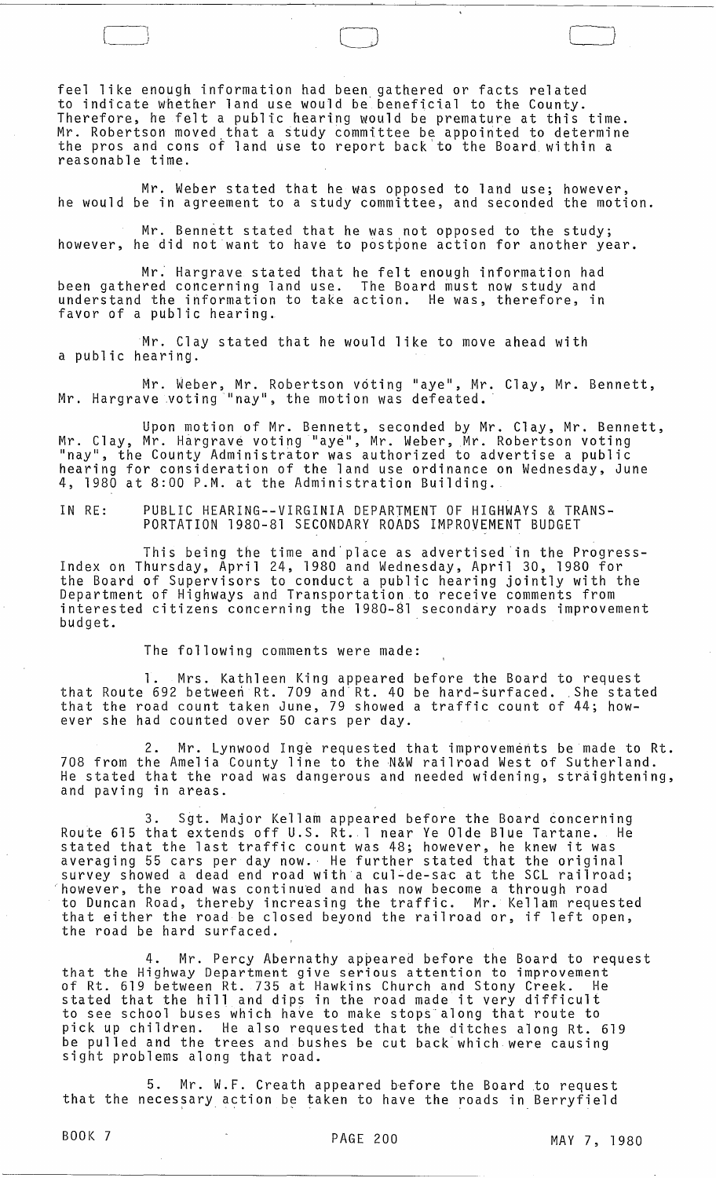feel like enough information had been gathered or facts related to indicate whether land use would be' beneficial to the County. Therefore, he felt a public hearing would be premature at this time. Mr. Robertson moved,that a study committee be appointed to determine the pros and cons of land use to report back to the Board within a reasonable time.

o

Mr. Weber stated that he was opposed to land use; however, he would be in agreement to a study committee, and seconded the motion.

Mr. Bennett stated that he was not opposed to the study; however, he did not want to have to postpone action for another year.

Mr: Hargrave stated that he felt enough information had been gathered concerning land use. The Board must now study and understand the information to take action. He was, therefore, in favor of a public hearing.

Mr. Clay stated that he would like to move ahead with a public hearing.

Mr. Weber, Mr. Robertson voting "aye", Mr. Clay, Mr. Bennett, Mr. Hargrave voting "nay", the motion was defeated.

Upon motion of Mr. Bennett, seconded by Mr. Clay, Mr. Bennett, Mr. Clay, Mr. Hargrave voting "aye", Mr. Weber, Mr. Robertson voting "nay", the County Administrator was authorized to advertise a public hearing for consideration of the land use ordinance on Wednesday, June 4, 1980 at 8:00 P.M. at the Administration Building.

IN RE: PUBLIC HEARING--VIRGINIA DEPARTMENT OF HIGHWAYS & TRANS-PORTATION 1980-81 SECONDARY ROADS IMPROVEMENT BUDGET

This being the time and'place as advertised'in the Progress-Index on Thursday, April 24, 1980 and Wednesday, April 30, 1980 for the Board of Supervisors to conduct a public hearing jointly with the Department of Highways and Transportation to receive comments from interested citizens concerning the 1980-81 secondary roads improvement budget.

The following comments were made:

1. Mrs. Kathleen King appeared before the Board to request 1. Mrs. Kathleen King appeared before the Board to request<br>that Route 692 between Rt. 709 and Rt. 40 be hard-surfaced. She stated<br>that the mood count taken lune 70 shound a traffic count of 44 bou that the road count taken June, 79 showed a traffic count of 44; however she had counted over 50 cars per day.

2. Mr. Lynwood Inge requested that improvements be made to Rt. 708 from the Amelia County line to the N&W railroad West of Sutherland. He stated that the road was dangerous and needed widening, straightening, and paving in areas.

3. Sgt. Major Kellam appeared before the Board concerning Route 615 that extends off U.S. Rt. 1 near Ye Olde Blue Tartane. He stated that the last traffic count was 48; however, he knew it was averaging 55 cars per day now. He further stated that the original survey showed a dead end road with a cul-de-sac at the SCL railroad; 'however, the road was continued and has now become a through road to Duncan Road, thereby increasing the traffic. Mr. Kellam requested that either the road be closed beyond the railroad or, if left open, the road be hard surfaced.

4. Mr. Percy Abernathy appeared before the Board to request that the Highway Department give serious attention to improvement of Rt. 619 between Rt. 735 at Hawkins Church and Stony Creek. He stated that the hill and dips in the road made it very difficult to see school buses which have to make stops along that route to pick up children. He also requested that the ditches along Rt. 619 be pulled and the trees and bushes be cut back'which were causing sight problems along that road.

5. Mr. W.F. Creath appeared before the Board to request that the necessary action be taken to have the roads in Berryfield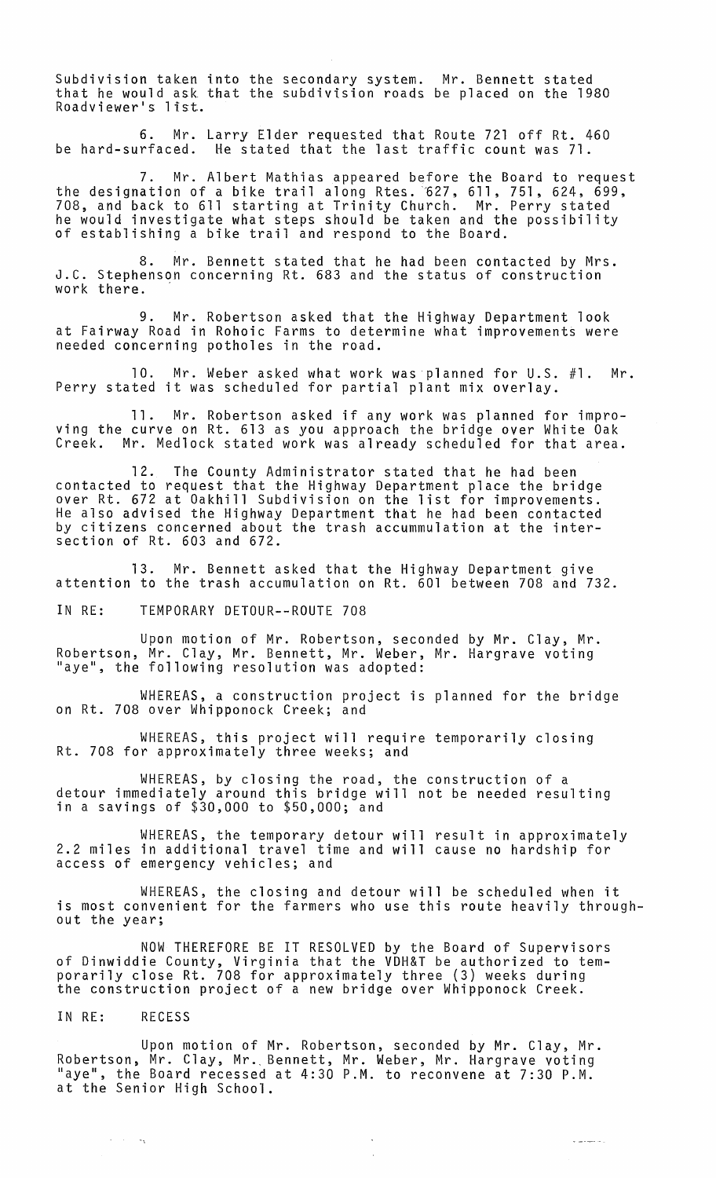Subdivision taken into the secondary system. Mr. Bennett stated that he would ask that the subdivision roads be placed on the 1980 Roadviewer's list.

6. Mr. Larry Elder requested that Route 721 off Rt. 460 be hard-surfaced. He stated that the last traffic count was 71.

7. Mr. Albert Mathias appeared before the Board to request the designation of a bike trail along Rtes. 627, 611, 751, 624, 699, 708, and back to 611 starting at Trinity Church. Mr. Perry stated he would investigate what steps should be taken and the possibility of establishing a bike trail and respond to the Board.

8. Mr. Bennett stated that he had been contacted by Mrs. J.C. Stephenson concerning Rt. 683 and the status of construction work there.

9. Mr. Robertson asked that the Highway Department look at Fairway Road in Rohoic Farms to determine what improvements were needed concerning potholes in the road.

10. Mr. Weber asked what work was planned for U.S. #1. Mr. Perry stated it was scheduled for partial plant mix overlay.

11. Mr. Robertson asked if any work was planned for improving the curve on Rt. 613 as you approach the bridge over White Oak<br>Creek. Mr. Medlock stated work was already scheduled for that area. Mr. Medlock stated work was already scheduled for that area.

12. The County Administrator stated that he had been contacted to request that the Highway Department place the bridge over Rt. 672 at Oakhi11 Subdivision on the list for improvements. He also advised the Highway Department that he had been contacted by citizens concerned about the trash accummulation at the intersection of Rt. 603 and 672.

13. Mr. Bennett asked that the Highway Department give attention to the trash accumulation on Rt. 601 between 708 and 732.

IN RE: TEMPORARY DETOUR--ROUTE 708

Upon motion of Mr. Robertson, seconded by Mr. Clay, Mr. Robertson, Mr. Clay, Mr. Bennett, Mr. Weber, Mr. Hargrave voting "aye", the following resolution was adopted:

WHEREAS, a construction project is planned for the bridge on Rt. 708 over Whipponock Creek; and

WHEREAS, this project will require temporarily closing Rt. 708 for approximately three weeks; and

WHEREAS, by closing the road, the construction of a detour immediately around this bridge will not be needed resulting<br>in a savings of \$30,000 to \$50,000; and

WHEREAS, the temporary detour will result in approximately 2.2 miles in additional travel time and will cause no hardship for access of emergency vehicles; and

WHEREAS, the closing and detour will be scheduled when it is most convenient for the farmers who use this route heavily throughout the year;

NOW THEREFORE BE IT RESOLVED by the Board of Supervisors of Dinwiddie County, Virginia that the VDH&T be authorized to temporarily close Rt. 708 for approximately three (3) weeks during the construction project of a new bridge over Whipponock Creek.

IN RE: RECESS

-,

Upon motion of Mr. Robertson, seconded by Mr. Clay, Mr. Robertson, Mr. Clay, Mr., Bennett, Mr. Weber, Mr. Hargrave voting "aye", the Board recessed at 4:30 P.M. to reconvene at 7:30 P.M. at the Senior High School.

 $\omega$  and  $\omega$  and  $\omega$  is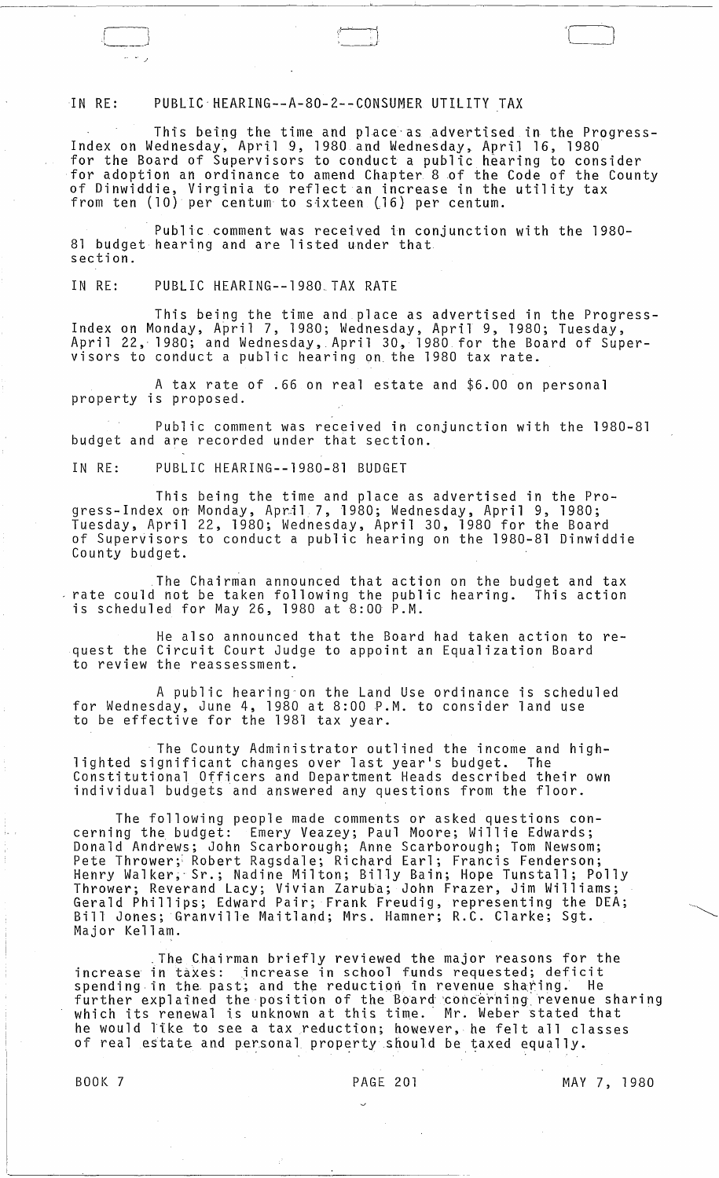IN RE: PUBLIC'HEARING--A-80-2--CONSUMER UTILITY TAX

This being the time and place as advertised in the Progress-Index on Wednesday, April 9, 1980 and Wednesday, April 16, 1980 for the Board of Supervisors to conduct a public hearing to consider for adoption an ordinance to amend Chapter 8 of the Code of the County of Dinwiddie, Virginia to reflect an increase in the utility tax from ten  $(10)$  per centum to sixteen  $(16)$  per centum.

',r .j

 $\frac{1}{2}$ 

Public comment was received in conjunction with the 1980- 81 budget hearing and are listed under that section.

IN RE: PUBLIC HEARING--1980.TAX RATE

This being the time and place as advertised in the Progress- Index on Monday, April 7, 1980; Wednesday, April 9, 1980; Tuesday, April 22, 1980; and Wednesday, April 30, 1980 for the Board of Supervisors to conduct a public hearing on. the 1980 tax rate.

A tax rate of .66 on real estate and \$6.00 on personal property is proposed.

Public comment was received in conjunction with the 1980-81 budget and are recorded under that section.

IN RE: PUBLIC HEARING--1980-81 BUDGET

This being the time and place as advertised in the Progress-Index on Monday, April 7, 1980; Wednesday, April 9, 1980; Tuesday, April 22, 1980; Wednesday, April 30, 1980 for the Board of Supervisors to conduct a public hearing on the 1980-81 Dinwiddie County budget.

,The Chairman announced that action on the budget and tax rate could not be taken following the public hearing. This action is scheduled for May 26, 1980 at 8:00 P.M.

He also announced that the Board had taken action to request the Circuit Court Judge to appoint an Equalization Board to review the reassessment.

A public hearing-on the Land Use ordinance is scheduled for Wednesday, June 4, 1980 at 8:00 P.M. to consider land use to be effective for the 1981 tax year.

The County Administrator outlined the income and high- lighted significant changes over last year's budget. The Constitutional Officers and Department Heads described their own individual budgets and answered any questions from the floor.

The following people made comments or asked questions concerning the budget: Emery Veazey; Paul Moore; Willie Edwards; Donald Andrews; John Scarborough; Anne Scarborough; Tom Newsom; Pete Thrower; Robert Ragsdale; Richard Earl; Francis Fenderson; Henry Walker~· Sr.; Nadine Milton; Billy Bain; Hope Tunstall; Polly Thrower; Reverand Lacy; Vivian Zaruba; John Frazer, Jim Williams; Gerald Phillips; Edward Pair; Frank Freudig, representing the DEA; Bill Jones; Granville Maitland; Mrs. Hamner; R.C. Clarke; Sgt. Major Kellam.

,The Chairman briefly reviewed the major reasons for the increase in taxes: increase in school funds requested; deficit spending in the past; and the reduction in revenue sharing. He further explained the position of the Board concerning revenue sharing which its renewal is unknown at this time. Mr. Weber stated that he would like to see a tax reduction; however, he felt all classes of real estate and personal property should be taxed equally.

BOOK 7 PAGE 201 MAY 7, 1980

 $\leftarrow$   $\leftarrow$   $\leftarrow$   $\leftarrow$